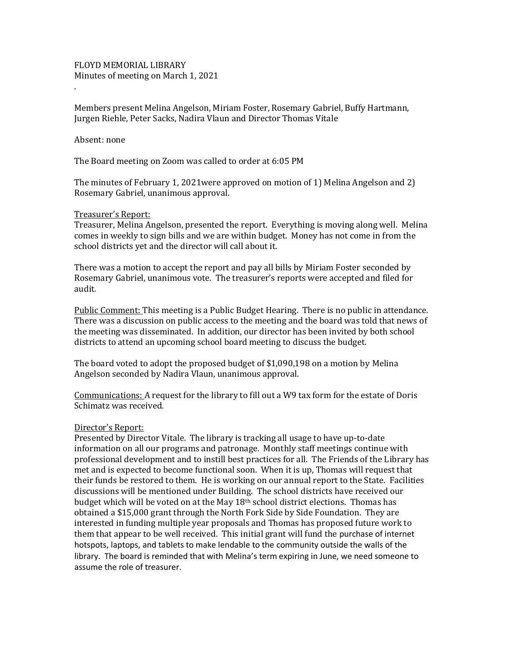FLOYD MEMORIAL LIBRARY Minutes of meeting on March 1, 2021

Members present Melina Angelson, Miriam Foster, Rosemary Gabriel, Buffy Hartmann, Jurgen Riehle, Peter Sacks, Nadira Vlaun and Director Thomas Vitale

## Absent: none

.

The Board meeting on Zoom was called to order at 6:05 PM

The minutes of February 1, 2021were approved on motion of 1) Melina Angelson and 2) Rosemary Gabriel, unanimous approval.

# Treasurer's Report:

Treasurer, Melina Angelson, presented the report. Everything is moving along well. Melina comes in weekly to sign bills and we are within budget. Money has not come in from the school districts yet and the director will call about it.

There was a motion to accept the report and pay all bills by Miriam Foster seconded by Rosemary Gabriel, unanimous vote. The treasurer's reports were accepted and filed for audit.

Public Comment: This meeting is a Public Budget Hearing. There is no public in attendance. There was a discussion on public access to the meeting and the board was told that news of the meeting was disseminated. In addition, our director has been invited by both school districts to attend an upcoming school board meeting to discuss the budget.

The board voted to adopt the proposed budget of \$1,090,198 on a motion by Melina Angelson seconded by Nadira Vlaun, unanimous approval.

Communications: A request for the library to fill out a W9 tax form for the estate of Doris Schimatz was received.

#### Director's Report:

Presented by Director Vitale. The library is tracking all usage to have up-to-date information on all our programs and patronage. Monthly staff meetings continue with professional development and to instill best practices for all. The Friends of the Library has met and is expected to become functional soon. When it is up, Thomas will request that their funds be restored to them. He is working on our annual report to the State. Facilities discussions will be mentioned under Building. The school districts have received our budget which will be voted on at the May  $18<sup>th</sup>$  school district elections. Thomas has obtained a \$15,000 grant through the North Fork Side by Side Foundation. They are interested in funding multiple year proposals and Thomas has proposed future work to them that appear to be well received. This initial grant will fund the purchase of internet hotspots, laptops, and tablets to make lendable to the community outside the walls of the library. The board is reminded that with Melina's term expiring in June, we need someone to assume the role of treasurer.